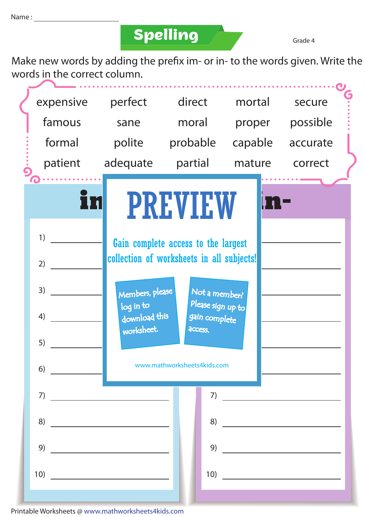## **Spelling Grade 4**

Make new words by adding the prefix im- or in- to the words given. Write the words in the correct column.



Printable Worksheets @ www.mathworksheets4kids.com